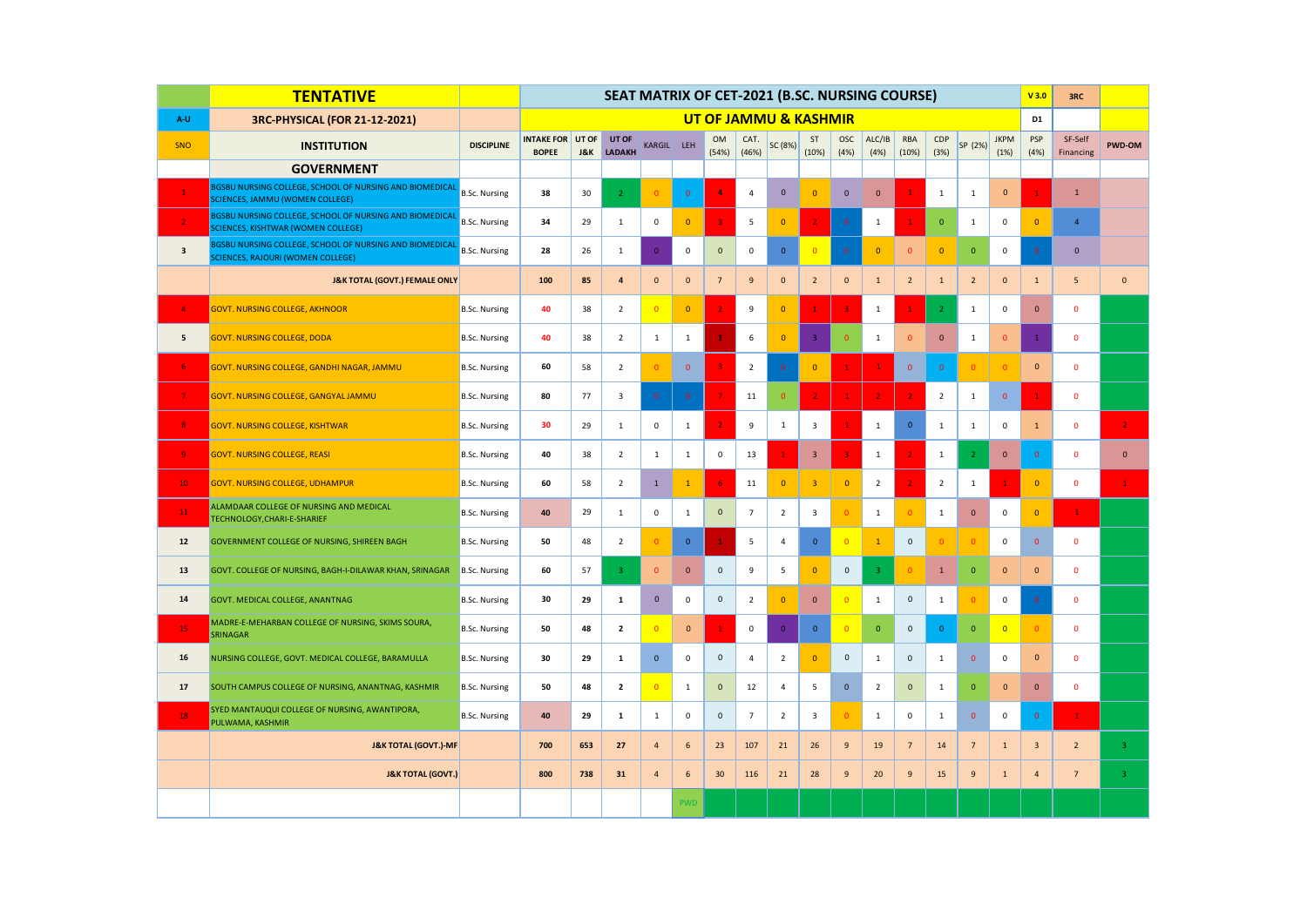|                 | <b>TENTATIVE</b>                                                                                            |                      |                                   |                         | SEAT MATRIX OF CET-2021 (B.SC. NURSING COURSE)<br><b>UT OF JAMMU &amp; KASHMIR</b> |                         |                |                     |                     |                |                         |                     |                |                     |                |                 |                     | V3.0                    | 3RC                  |                |
|-----------------|-------------------------------------------------------------------------------------------------------------|----------------------|-----------------------------------|-------------------------|------------------------------------------------------------------------------------|-------------------------|----------------|---------------------|---------------------|----------------|-------------------------|---------------------|----------------|---------------------|----------------|-----------------|---------------------|-------------------------|----------------------|----------------|
| A-U             | 3RC-PHYSICAL (FOR 21-12-2021)                                                                               |                      |                                   |                         |                                                                                    |                         |                |                     |                     |                |                         |                     |                |                     |                |                 |                     | D1                      |                      |                |
| SNO             | <b>INSTITUTION</b>                                                                                          | <b>DISCIPLINE</b>    | <b>INTAKE FOR</b><br><b>BOPEE</b> | UT OF<br><b>J&amp;K</b> | UT OF<br><b>LADAKH</b>                                                             | <b>KARGIL</b>           | LEH            | OM<br>(54%)         | CAT.<br>(46%)       | SC (8%)        | ST<br>(10%)             | <b>OSC</b><br>(4% ) | ALC/IB<br>(4%) | RBA<br>(10%)        | CDP<br>(3%)    | SP (2%)         | <b>JKPM</b><br>(1%) | <b>PSP</b><br>(4%)      | SF-Self<br>Financing | PWD-OM         |
|                 | <b>GOVERNMENT</b>                                                                                           |                      |                                   |                         |                                                                                    |                         |                |                     |                     |                |                         |                     |                |                     |                |                 |                     |                         |                      |                |
|                 | BGSBU NURSING COLLEGE, SCHOOL OF NURSING AND BIOMEDICAL<br><b>SCIENCES, JAMMU (WOMEN COLLEGE)</b>           | <b>B.Sc. Nursing</b> | 38                                | 30                      | $\overline{2}$                                                                     | $\Omega$                | $\overline{0}$ | $\overline{4}$      | $\overline{4}$      | $\mathbf{0}$   | $\Omega$                | $\mathbf{0}$        | $\mathbf{0}$   | $\overline{1}$      | $\mathbf{1}$   | $\mathbf{1}$    | $\mathbf{0}$        | $\mathbf{1}$            | $\mathbf{1}$         |                |
|                 | <b>BGSBU NURSING COLLEGE, SCHOOL OF NURSING AND BIOMEDICAL</b><br><b>SCIENCES, KISHTWAR (WOMEN COLLEGE)</b> | <b>B.Sc. Nursing</b> | 34                                | 29                      | $\mathbf{1}$                                                                       | $\mathbf 0$             | $\overline{0}$ | $\overline{3}$      | 5                   | $\overline{0}$ |                         |                     | $\mathbf{1}$   | $\mathbf{1}$        | $\overline{0}$ | $\mathbf{1}$    | 0                   | $\mathbf 0$             | $\overline{4}$       |                |
| $\mathbf{3}$    | BGSBU NURSING COLLEGE, SCHOOL OF NURSING AND BIOMEDICAL<br><b>SCIENCES, RAJOURI (WOMEN COLLEGE)</b>         | <b>B.Sc. Nursing</b> | 28                                | 26                      | $\mathbf 1$                                                                        | $\mathbf 0$             | $\mathsf 0$    | $\mathbf 0$         | $\mathsf 0$         | $\mathbf{0}$   | $\mathbf{0}$            | $\mathbf{0}$        | $\mathbf{0}$   | $\mathbf{0}$        | $\Omega$       | $\bullet$       | $\mathsf 0$         | $\overline{\mathbf{0}}$ | $\mathbf{0}$         |                |
|                 | <b>J&amp;K TOTAL (GOVT.) FEMALE ONLY</b>                                                                    |                      | 100                               | 85                      | $\overline{\mathbf{4}}$                                                            | $\pmb{0}$               | $\mathbf{0}$   | $7\overline{ }$     | 9                   | $\mathbf{0}$   | $\overline{2}$          | $\mathbf{0}$        | $\mathbf 1$    | $\overline{2}$      | $\mathbf{1}$   | $\overline{2}$  | $\mathbf 0$         | $\mathbf{1}$            | 5                    | $\mathbf 0$    |
|                 | <b>GOVT. NURSING COLLEGE, AKHNOOR</b>                                                                       | <b>B.Sc. Nursing</b> | 40                                | 38                      | $\overline{2}$                                                                     | $\overline{\mathbf{0}}$ | $\mathbf{0}$   | $\overline{2}$      | 9                   | $\mathbf{0}$   | $\mathbf{1}$            | 3                   | $1\,$          |                     | $\overline{2}$ | $\mathbf 1$     | $\mathsf 0$         | $\mathbf 0$             | $\mathbf 0$          |                |
| 5               | <b>GOVT. NURSING COLLEGE, DODA</b>                                                                          | <b>B.Sc. Nursing</b> | 40                                | 38                      | $\overline{2}$                                                                     | $\mathbf{1}$            | $\mathbf{1}$   | $\mathbf{1}$        | 6                   | $\mathbf{0}$   | $\overline{\mathbf{3}}$ | $\Omega$            | $\mathbf{1}$   | $\mathbf{0}$        | $\mathbf 0$    | $\mathbf{1}$    | $\mathbf{0}$        | $1^{\circ}$             | $\mathbf 0$          |                |
| 6 <sub>1</sub>  | GOVT. NURSING COLLEGE, GANDHI NAGAR, JAMMU                                                                  | <b>B.Sc. Nursing</b> | 60                                | 58                      | $\overline{2}$                                                                     | $\Omega$                | $\mathbf{0}$   | $\overline{3}$      | $\overline{2}$      | $\overline{0}$ | $\overline{0}$          | 1                   | $\mathbf{1}$   | $\overline{0}$      | $\mathbf{0}$   | $\mathbf{0}$    |                     | $\mathbf{0}$            | $\mathbf 0$          |                |
| $\overline{7}$  | GOVT. NURSING COLLEGE, GANGYAL JAMMU                                                                        | <b>B.Sc. Nursing</b> | 80                                | 77                      | 3                                                                                  | $\mathbf 0$             | $\mathbf 0$    | $\overline{7}$      | 11                  | $\mathbf{0}$   | $\overline{2}$          |                     | $\overline{2}$ | $\overline{2}$      | $\overline{2}$ | $\mathbf{1}$    | $\mathbf 0$         | $\mathbf{1}$            | $\mathbf 0$          |                |
| 8               | <b>GOVT. NURSING COLLEGE, KISHTWAR</b>                                                                      | <b>B.Sc. Nursing</b> | 30                                | 29                      | $\mathbf{1}$                                                                       | $\mathsf 0$             | $\mathbf{1}$   | 2 <sup>1</sup>      | 9                   | $\mathbf{1}$   | 3                       |                     | $\mathbf{1}$   | $\mathbf{0}$        | $\mathbf{1}$   | $\mathbf{1}$    | $\mathsf 0$         | $\mathbf{1}$            | $\mathbf{0}$         | $\overline{2}$ |
| 9               | <b>GOVT. NURSING COLLEGE, REASI</b>                                                                         | <b>B.Sc. Nursing</b> | 40                                | 38                      | $\overline{2}$                                                                     | 1                       | $\mathbf{1}$   | 0                   | 13                  | 1              | $\overline{\mathbf{3}}$ | З                   | $\mathbf{1}$   | $\overline{2}$      | $\mathbf{1}$   | $\overline{2}$  | $\mathbf 0$         | $\mathbf{0}$            | $\mathbf 0$          | $\mathbf 0$    |
| 10 <sub>1</sub> | <b>GOVT. NURSING COLLEGE, UDHAMPUR</b>                                                                      | <b>B.Sc. Nursing</b> | 60                                | 58                      | $\overline{2}$                                                                     | $\mathbf 1$             | $\mathbf{1}$   | 6 <sub>1</sub>      | 11                  | $\mathbf{0}$   | $\overline{\mathbf{3}}$ | $\overline{0}$      | $\overline{2}$ | $\overline{2}$      | $\overline{2}$ | $\mathbf{1}$    |                     | $\mathbf{0}$            | $\mathbf 0$          | $\mathbf{1}$   |
| 11              | ALAMDAAR COLLEGE OF NURSING AND MEDICAL<br>TECHNOLOGY, CHARI-E-SHARIEF                                      | <b>B.Sc. Nursing</b> | 40                                | 29                      | $\mathbf{1}$                                                                       | $\mathbf 0$             | $\mathbf{1}$   | $\mathbf 0$         | $\overline{7}$      | $\overline{2}$ | 3                       | 0                   | $\mathbf{1}$   | $\overline{0}$      | $\mathbf{1}$   | $\mathbf 0$     | $\mathsf 0$         | $\mathbf{0}$            | $\mathbf{1}$         |                |
| $12\,$          | GOVERNMENT COLLEGE OF NURSING, SHIREEN BAGH                                                                 | <b>B.Sc. Nursing</b> | 50                                | 48                      | $\overline{2}$                                                                     | $\Omega$                | $\mathbf{0}$   | $\mathbf 1$         | 5                   | 4              | $\mathbf 0$             | $\overline{0}$      | $\mathbf{1}$   | $\mathsf{O}\xspace$ |                | $\mathbf{0}$    | 0                   | $\mathbf{0}$            | $\mathbf{0}$         |                |
| 13              | GOVT. COLLEGE OF NURSING, BAGH-I-DILAWAR KHAN, SRINAGAR                                                     | <b>B.Sc. Nursing</b> | 60                                | 57                      | $\overline{3}$                                                                     | $\mathbf{0}$            | $\mathbf{0}$   | $\mathsf{O}$        | 9                   | 5              | $\mathbf 0$             | $\mathbf{0}$        | $\overline{3}$ | $\Omega$            | $\mathbf{1}$   | $\mathbf{0}$    | $\mathbf 0$         | $\mathbf 0$             | $\mathbf 0$          |                |
| 14              | GOVT. MEDICAL COLLEGE, ANANTNAG                                                                             | <b>B.Sc. Nursing</b> | 30                                | 29                      | ${\bf 1}$                                                                          | $\mathbf 0$             | $\mathsf 0$    | $\mathsf{O}\xspace$ | $\overline{2}$      | $\mathbf{0}$   | $\mathbf 0$             | $\overline{0}$      | $\mathbf 1$    | $\mathsf{O}\xspace$ | $\mathbf{1}$   | $\mathbf{0}$    | $\mathsf 0$         | $\overline{0}$          | $\mathbf 0$          |                |
| 15              | MADRE-E-MEHARBAN COLLEGE OF NURSING, SKIMS SOURA,<br><b>SRINAGAR</b>                                        | <b>B.Sc. Nursing</b> | 50                                | 48                      | $\overline{\mathbf{2}}$                                                            | $\overline{0}$          | $\mathbf 0$    | $\mathbf 1$         | $\mathsf{O}\xspace$ | $\mathbf 0$    | $\mathbf{0}$            | $\Omega$            | $\mathbf 0$    | $\pmb{0}$           | $\mathbf 0$    | $\mathbf 0$     | $\overline{0}$      | $\overline{0}$          | $\mathbf 0$          |                |
| 16              | NURSING COLLEGE, GOVT. MEDICAL COLLEGE, BARAMULLA                                                           | <b>B.Sc. Nursing</b> | 30                                | 29                      | $\mathbf{1}$                                                                       | $\mathbf{0}$            | $\mathsf 0$    | $\mathsf 0$         | $\overline{4}$      | $\overline{2}$ | $\mathbf{0}$            | $\mathbf{0}$        | $\mathbf{1}$   | $\mathsf{O}\xspace$ | $\mathbf{1}$   | $\overline{0}$  | $\mathsf 0$         | $\mathbf{0}$            | $\mathbf 0$          |                |
| 17              | SOUTH CAMPUS COLLEGE OF NURSING, ANANTNAG, KASHMIR                                                          | <b>B.Sc. Nursing</b> | 50                                | 48                      | $\overline{2}$                                                                     | $\overline{0}$          | $\mathbf{1}$   | $\mathbf{0}$        | 12                  | 4              | 5                       | $\mathbf{0}$        | $\overline{2}$ | $\mathbf 0$         | $\mathbf{1}$   | $\mathbf{0}$    | $\mathbf{0}$        | $\mathbf{0}$            | $\mathbf{0}$         |                |
| 18              | SYED MANTAUQUI COLLEGE OF NURSING, AWANTIPORA,<br>PULWAMA, KASHMIR                                          | <b>B.Sc. Nursing</b> | 40                                | 29                      | $\mathbf{1}$                                                                       | 1                       | $\mathsf 0$    | $\mathsf 0$         | $\overline{7}$      | $\overline{2}$ | 3                       | r                   | $\mathbf{1}$   | 0                   | $\mathbf{1}$   | $\mathbf 0$     | $\mathsf 0$         | $\mathbf{0}$            | $\mathbf{1}$         |                |
|                 | <b>J&amp;K TOTAL (GOVT.)-MF</b>                                                                             |                      | 700                               | 653                     | 27                                                                                 | $\overline{a}$          | 6              | 23                  | 107                 | 21             | 26                      | 9                   | 19             | $\overline{7}$      | 14             | $7\overline{ }$ | $\mathbf{1}$        | 3                       | $\overline{2}$       | $\overline{3}$ |
|                 | <b>J&amp;K TOTAL (GOVT.)</b>                                                                                |                      | 800                               | 738                     | 31                                                                                 | $\overline{4}$          | 6              | 30                  | 116                 | 21             | 28                      | 9                   | 20             | 9                   | 15             | $\overline{9}$  | $\mathbf{1}$        | $\overline{a}$          | $\overline{7}$       | $\overline{3}$ |
|                 |                                                                                                             |                      |                                   |                         |                                                                                    |                         | <b>PWD</b>     |                     |                     |                |                         |                     |                |                     |                |                 |                     |                         |                      |                |
|                 |                                                                                                             |                      |                                   |                         |                                                                                    |                         |                |                     |                     |                |                         |                     |                |                     |                |                 |                     |                         |                      |                |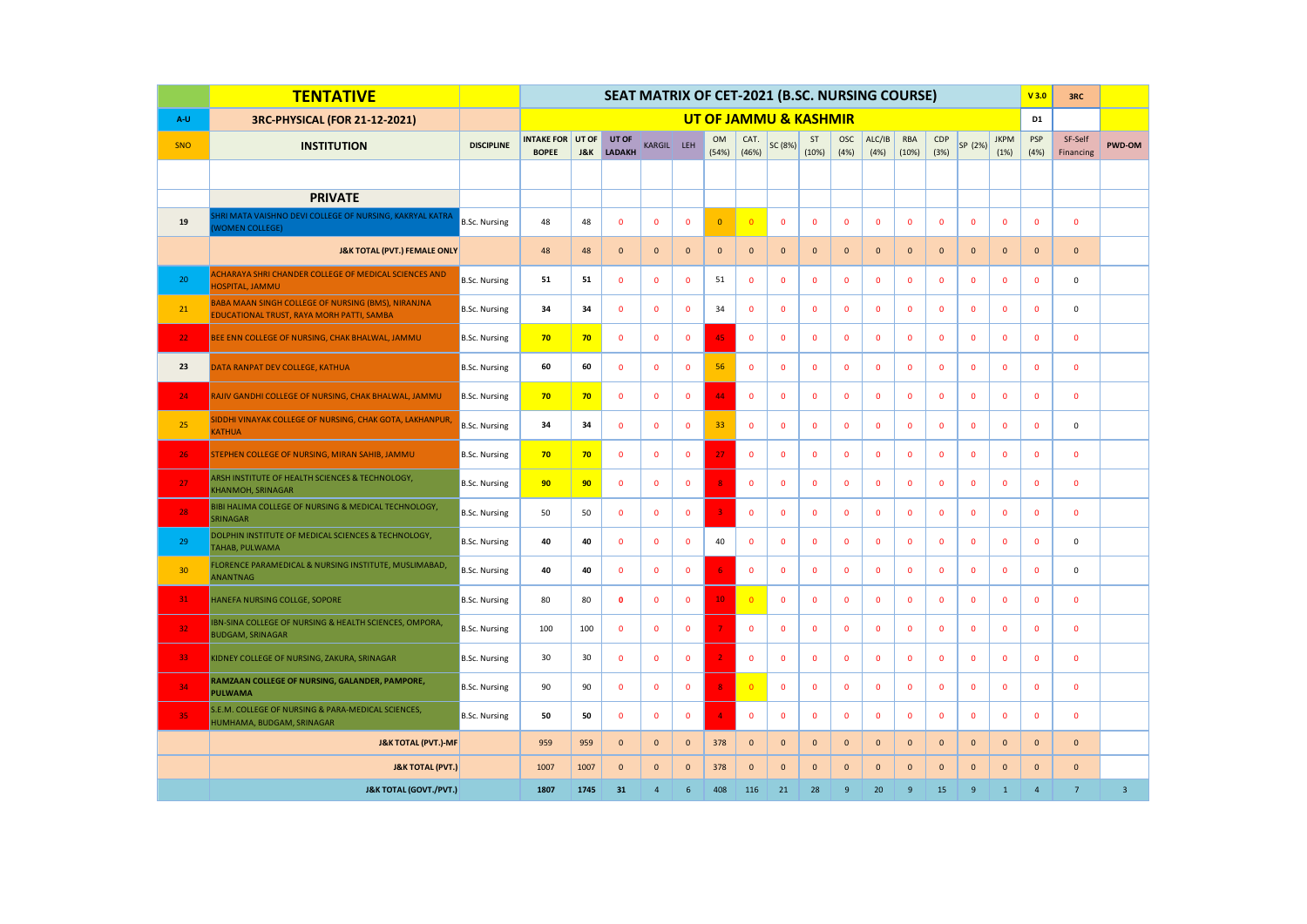|                 | <b>TENTATIVE</b>                                                                                |                      | SEAT MATRIX OF CET-2021 (B.SC. NURSING COURSE)<br><b>UT OF JAMMU &amp; KASHMIR</b> |                         |                        |                |              |                    |                |              |              |                    |                |                |              |              | V3.0                | 3RC            |                      |                |
|-----------------|-------------------------------------------------------------------------------------------------|----------------------|------------------------------------------------------------------------------------|-------------------------|------------------------|----------------|--------------|--------------------|----------------|--------------|--------------|--------------------|----------------|----------------|--------------|--------------|---------------------|----------------|----------------------|----------------|
| $A-U$           | 3RC-PHYSICAL (FOR 21-12-2021)                                                                   |                      |                                                                                    |                         |                        |                |              |                    |                |              |              |                    |                |                |              |              |                     | D <sub>1</sub> |                      |                |
| SNO             | <b>INSTITUTION</b>                                                                              | <b>DISCIPLINE</b>    | <b>INTAKE FOR</b><br><b>BOPEE</b>                                                  | UT OF<br><b>J&amp;K</b> | UT OF<br><b>LADAKH</b> | KARGIL LEH     |              | <b>OM</b><br>(54%) | CAT.<br>(46%)  | SC (8%)      | ST<br>(10%)  | <b>OSC</b><br>(4%) | ALC/IB<br>(4%) | RBA<br>(10%)   | CDP<br>(3%)  | SP (2%)      | <b>JKPM</b><br>(1%) | PSP<br>(4%)    | SF-Self<br>Financing | PWD-OM         |
|                 |                                                                                                 |                      |                                                                                    |                         |                        |                |              |                    |                |              |              |                    |                |                |              |              |                     |                |                      |                |
|                 | <b>PRIVATE</b>                                                                                  |                      |                                                                                    |                         |                        |                |              |                    |                |              |              |                    |                |                |              |              |                     |                |                      |                |
| 19              | HRI MATA VAISHNO DEVI COLLEGE OF NURSING, KAKRYAL KATRA<br><b>WOMEN COLLEGE)</b>                | <b>B.Sc. Nursing</b> | 48                                                                                 | 48                      | $\mathbf 0$            | $\mathbf 0$    | $\mathbf 0$  | $\overline{0}$     | $\overline{0}$ | $\mathbf 0$  | $\mathbf 0$  | $\mathbf 0$        | $\mathbf 0$    | $\mathbf{0}$   | $\mathbf 0$  | $\mathbf 0$  | $\mathbf 0$         | $\mathbf 0$    | $\mathbf 0$          |                |
|                 | <b>J&amp;K TOTAL (PVT.) FEMALE ONLY</b>                                                         |                      | 48                                                                                 | 48                      | $\mathbf{0}$           | $\mathbf 0$    | $\mathbf{0}$ | $\mathbf 0$        | $\mathbf{0}$   | $\mathbf 0$  | $\mathbf{0}$ | $\mathbf{0}$       | $\mathbf 0$    | $\mathbf{0}$   | $\mathbf{0}$ | $\mathbf 0$  | $\mathbf{0}$        | $\mathbf{0}$   | $\mathbf{0}$         |                |
| 20              | ACHARAYA SHRI CHANDER COLLEGE OF MEDICAL SCIENCES AND<br><b>HOSPITAL, JAMMU</b>                 | <b>B.Sc. Nursing</b> | 51                                                                                 | 51                      | $\mathbf 0$            | $\mathbf 0$    | 0            | 51                 | $\pmb{0}$      | $\mathbf{0}$ | $\mathbf 0$  | $\mathbf 0$        | $\mathbf 0$    | $\mathbf 0$    | $\mathbf 0$  | $\mathbf 0$  | $\mathbf 0$         | $\mathbf 0$    | $\mathsf 0$          |                |
| 21              | BABA MAAN SINGH COLLEGE OF NURSING (BMS), NIRANJNA<br>EDUCATIONAL TRUST, RAYA MORH PATTI, SAMBA | <b>B.Sc. Nursing</b> | 34                                                                                 | 34                      | $\mathbf 0$            | $\mathbf 0$    | 0            | 34                 | 0              | $\mathbf{0}$ | $\mathbf 0$  | $\mathbf 0$        | $\mathbf 0$    | $\mathbf 0$    | $\mathbf 0$  | $\mathbf 0$  | $\mathbf 0$         | $\mathbf 0$    | 0                    |                |
| 22 <sub>1</sub> | BEE ENN COLLEGE OF NURSING, CHAK BHALWAL, JAMMU                                                 | <b>B.Sc. Nursing</b> | 70                                                                                 | 70                      | $\mathbf 0$            | $\mathbf 0$    | $\mathbf 0$  | 45                 | $\mathbf{0}$   | $\mathbf 0$  | $\mathbf 0$  | $\mathbf{0}$       | $\mathbf 0$    | 0              | $\mathbf 0$  | $\mathbf 0$  | $\mathbf 0$         | $\mathbf 0$    | $\mathbf 0$          |                |
| 23              | DATA RANPAT DEV COLLEGE, KATHUA                                                                 | <b>B.Sc. Nursing</b> | 60                                                                                 | 60                      | $\mathbf 0$            | $\mathbf 0$    | $\mathbf 0$  | 56                 | $\mathbf 0$    | $\mathbf 0$  | $\mathbf 0$  | $\mathbf 0$        | $\mathbf 0$    | $\mathbf 0$    | $\mathbf 0$  | $\mathbf 0$  | $\mathbf 0$         | $\mathbf 0$    | $\mathbf 0$          |                |
| 24              | RAJIV GANDHI COLLEGE OF NURSING, CHAK BHALWAL, JAMMU                                            | <b>B.Sc. Nursing</b> | 70                                                                                 | 70                      | $\mathbf 0$            | $\mathbf 0$    | $\mathbf 0$  | 44                 | $\mathbf{0}$   | $\mathbf 0$  | $\mathbf 0$  | $\mathbf 0$        | $\mathbf 0$    | $\mathbf 0$    | $\mathbf 0$  | $\mathbf 0$  | $\mathbf 0$         | $\mathbf{0}$   | $\mathbf{0}$         |                |
| 25              | SIDDHI VINAYAK COLLEGE OF NURSING, CHAK GOTA, LAKHANPUR,<br><b>KATHUA</b>                       | <b>B.Sc. Nursing</b> | 34                                                                                 | 34                      | $\mathbf 0$            | $\mathbf 0$    | $\mathbf 0$  | 33                 | $\mathbf 0$    | $\mathbf 0$  | $\mathbf 0$  | $\mathbf 0$        | $\mathbf 0$    | $\mathbf 0$    | $\mathbf 0$  | $\mathbf 0$  | $\mathbf 0$         | $\mathbf{0}$   | $\mathsf 0$          |                |
| 26 <sub>1</sub> | STEPHEN COLLEGE OF NURSING, MIRAN SAHIB, JAMMU                                                  | <b>B.Sc. Nursing</b> | 70                                                                                 | 70                      | $\mathbf 0$            | $\mathbf 0$    | $\mathbf 0$  | 27                 | $\mathbf 0$    | $\mathbf 0$  | $\mathbf 0$  | $\mathbf 0$        | $\mathbf 0$    | $\mathbf 0$    | $\pmb{0}$    | $\mathbf 0$  | $\mathbf 0$         | $\mathbf 0$    | $\pmb{0}$            |                |
| 27              | ARSH INSTITUTE OF HEALTH SCIENCES & TECHNOLOGY,<br><b>KHANMOH, SRINAGAR</b>                     | <b>B.Sc. Nursing</b> | 90                                                                                 | 90                      | $\mathbf 0$            | $\mathbf 0$    | 0            | 8                  | 0              | $\mathbf 0$  | $\mathbf 0$  | $\mathbf 0$        | $\mathbf 0$    | 0              | $\mathbf 0$  | $\mathbf 0$  | $\mathbf 0$         | $\mathbf 0$    | $\mathbf 0$          |                |
| 28              | BIBI HALIMA COLLEGE OF NURSING & MEDICAL TECHNOLOGY,<br><b>SRINAGAR</b>                         | <b>B.Sc. Nursing</b> | 50                                                                                 | 50                      | $\mathbf 0$            | $\mathbf 0$    | $\mathbf{0}$ | $\overline{3}$     | $\mathbf{0}$   | $\mathbf 0$  | $\mathbf 0$  | $\mathbf{0}$       | 0              | $\mathbf 0$    | $\mathbf 0$  | $\mathbf 0$  | $\mathbf 0$         | $\mathbf 0$    | 0                    |                |
| 29              | DOLPHIN INSTITUTE OF MEDICAL SCIENCES & TECHNOLOGY,<br>TAHAB, PULWAMA                           | <b>B.Sc. Nursing</b> | 40                                                                                 | 40                      | $\mathbf 0$            | $\mathbf 0$    | $\mathbf 0$  | 40                 | $\mathbf{0}$   | $\mathbf 0$  | $\mathbf 0$  | $\mathbf 0$        | $\mathbf 0$    | $\mathbf 0$    | $\mathbf 0$  | $\mathbf 0$  | $\mathbf 0$         | $\mathbf 0$    | $\mathsf 0$          |                |
| 30 <sub>2</sub> | FLORENCE PARAMEDICAL & NURSING INSTITUTE, MUSLIMABAD,<br>ANANTNAG                               | <b>B.Sc. Nursing</b> | 40                                                                                 | 40                      | $\mathbf{0}$           | $\mathbf 0$    | $\mathbf{0}$ | 6                  | $\mathbf{0}$   | $\mathbf 0$  | $\mathbf{0}$ | $\mathbf{0}$       | $\mathbf 0$    | 0              | $\mathbf 0$  | $\mathbf{0}$ | $\mathbf 0$         | $\mathbf{0}$   | $\mathbf 0$          |                |
| 31              | HANEFA NURSING COLLGE, SOPORE                                                                   | <b>B.Sc. Nursing</b> | 80                                                                                 | 80                      | $\mathbf{o}$           | $\mathbf{0}$   | $\mathbf{0}$ | 10 <sub>1</sub>    | $\mathbf{0}$   | $\mathbf{0}$ | $\mathbf{0}$ | $\mathbf{0}$       | $\mathbf{0}$   | $\Omega$       | $\mathbf{0}$ | $\mathbf{0}$ | $\mathbf{0}$        | $\mathbf{0}$   | $\mathbf{0}$         |                |
| 32 <sub>1</sub> | IBN-SINA COLLEGE OF NURSING & HEALTH SCIENCES, OMPORA,<br><b>BUDGAM, SRINAGAR</b>               | <b>B.Sc. Nursing</b> | 100                                                                                | 100                     | $\mathbf 0$            | $\mathbf 0$    | $\mathbf 0$  | 7                  | $\mathbf 0$    | $\mathbf 0$  | $\mathbf 0$  | $\mathbf 0$        | $\mathbf 0$    | $\mathbf 0$    | $\mathbf 0$  | $\mathbf 0$  | $\mathbf 0$         | $\mathbf 0$    | $\mathbf 0$          |                |
| 33              | KIDNEY COLLEGE OF NURSING, ZAKURA, SRINAGAR                                                     | <b>B.Sc. Nursing</b> | 30                                                                                 | 30                      | $\mathbf 0$            | $\mathbf 0$    | 0            | $\overline{2}$     | 0              | $\mathbf 0$  | $\mathbf 0$  | $\mathbf 0$        | $\mathbf 0$    | 0              | $\mathbf 0$  | $\mathbf 0$  | $\mathbf 0$         | $\mathbf 0$    | $\mathbf 0$          |                |
| 34              | RAMZAAN COLLEGE OF NURSING, GALANDER, PAMPORE,<br><b>PULWAMA</b>                                | <b>B.Sc. Nursing</b> | 90                                                                                 | 90                      | $\mathbf 0$            | $\mathbf 0$    | 0            | 8                  | $\mathbf{0}$   | $\mathbf 0$  | $\mathbf 0$  | $\mathbf 0$        | $\mathbf 0$    | $\mathbf 0$    | $\mathbf 0$  | $\mathbf 0$  | $\mathbf 0$         | $\mathbf 0$    | $\mathbf 0$          |                |
| 35              | S.E.M. COLLEGE OF NURSING & PARA-MEDICAL SCIENCES,<br>HUMHAMA, BUDGAM, SRINAGAR                 | <b>B.Sc. Nursing</b> | 50                                                                                 | 50                      | $\mathbf 0$            | $\mathbf 0$    | 0            | 4                  | $\mathbf 0$    | $\mathbf 0$  | $\mathbf 0$  | $\mathbf 0$        | $\mathbf 0$    | 0              | $\mathbf 0$  | $\mathbf 0$  | $\mathbf 0$         | $\mathbf 0$    | $\mathbf 0$          |                |
|                 | <b>J&amp;K TOTAL (PVT.)-MF</b>                                                                  |                      | 959                                                                                | 959                     | $\mathbf{0}$           | $\mathbf{0}$   | $\mathbf{0}$ | 378                | $\mathbf{0}$   | $\mathbf 0$  | $\mathbf{0}$ | $\mathbf{0}$       | $\mathbf{0}$   | $\overline{0}$ | $\mathbf{0}$ | $\mathbf{0}$ | $\mathbf{0}$        | $\mathbf{0}$   | $\mathbf{0}$         |                |
|                 | <b>J&amp;K TOTAL (PVT.)</b>                                                                     |                      | 1007                                                                               | 1007                    | $\mathbf{0}$           | $\mathbf{0}$   | $\mathbf{0}$ | 378                | $\mathbf{0}$   | $\mathbf{0}$ | $\mathbf 0$  | $\overline{0}$     | $\mathbf 0$    | $\Omega$       | $\mathbf{0}$ | $\mathbf{0}$ | $\mathbf{0}$        | $\mathbf{0}$   | $\mathbf{0}$         |                |
|                 | <b>J&amp;K TOTAL (GOVT./PVT.)</b>                                                               |                      | 1807                                                                               | 1745                    | 31                     | $\overline{4}$ | 6            | 408                | 116            | 21           | 28           | 9 <sup>°</sup>     | 20             | 9              | 15           | 9            | $\overline{1}$      | $\overline{4}$ | $\overline{7}$       | $\overline{3}$ |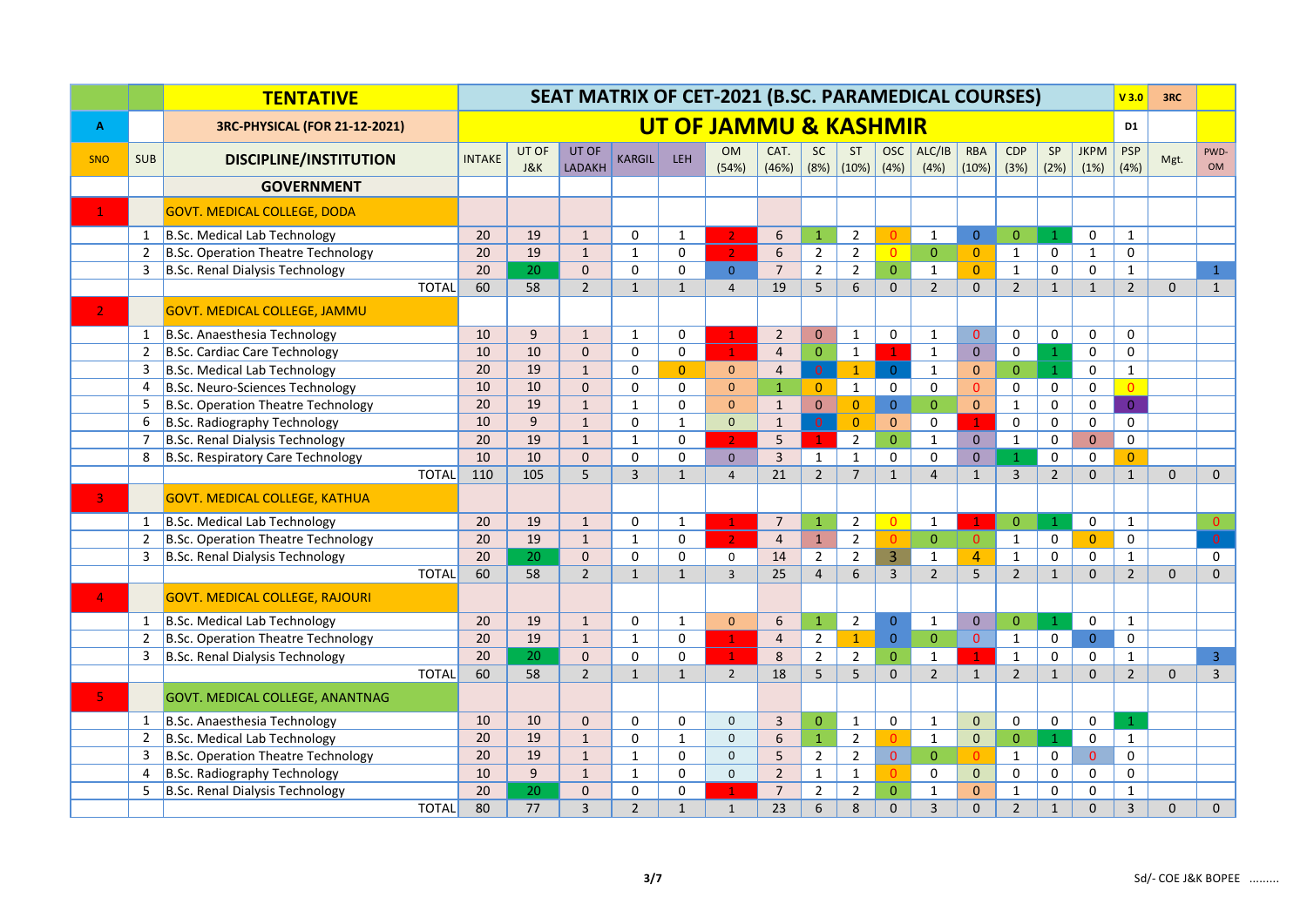|                | <b>TENTATIVE</b> |                                       |              |               | SEAT MATRIX OF CET-2021 (B.SC. PARAMEDICAL COURSES) |                        |                |                |                                  |                |                   |                    |                     |                |                     |                |                |                     | V3.0                | 3RC         |                |
|----------------|------------------|---------------------------------------|--------------|---------------|-----------------------------------------------------|------------------------|----------------|----------------|----------------------------------|----------------|-------------------|--------------------|---------------------|----------------|---------------------|----------------|----------------|---------------------|---------------------|-------------|----------------|
| A              |                  | 3RC-PHYSICAL (FOR 21-12-2021)         |              |               |                                                     |                        |                |                | <b>UT OF JAMMU &amp; KASHMIR</b> |                |                   |                    |                     |                |                     |                |                |                     | D <sub>1</sub>      |             |                |
| <b>SNO</b>     | <b>SUB</b>       | <b>DISCIPLINE/INSTITUTION</b>         |              | <b>INTAKE</b> | UT OF<br><b>J&amp;K</b>                             | UT OF<br><b>LADAKH</b> | <b>KARGIL</b>  | LEH            | <b>OM</b><br>(54%)               | CAT.<br>(46%)  | <b>SC</b><br>(8%) | <b>ST</b><br>(10%) | OSC<br>(4%)         | ALC/IB<br>(4%) | <b>RBA</b><br>(10%) | CDP<br>(3%)    | SP<br>(2%)     | <b>JKPM</b><br>(1%) | <b>PSP</b><br>(4% ) | Mgt.        | PWD-<br>OM     |
|                |                  | <b>GOVERNMENT</b>                     |              |               |                                                     |                        |                |                |                                  |                |                   |                    |                     |                |                     |                |                |                     |                     |             |                |
| $\mathbf{1}$   |                  | GOVT. MEDICAL COLLEGE, DODA           |              |               |                                                     |                        |                |                |                                  |                |                   |                    |                     |                |                     |                |                |                     |                     |             |                |
|                | 1                | B.Sc. Medical Lab Technology          |              | 20            | 19                                                  | $\mathbf{1}$           | $\mathbf 0$    | $\mathbf{1}$   | 2 <sup>1</sup>                   | 6              | $\mathbf{1}$      | $\overline{2}$     | $\Omega$            | $\mathbf{1}$   | $\overline{0}$      | $\overline{0}$ | $\mathbf{1}$   | 0                   | $\mathbf{1}$        |             |                |
|                | $\overline{2}$   | B.Sc. Operation Theatre Technology    |              | 20            | 19                                                  | $\mathbf{1}$           | $\mathbf{1}$   | 0              | 2 <sub>1</sub>                   | 6              | $\overline{2}$    | $\overline{2}$     | $\overline{0}$      | $\overline{0}$ | $\overline{0}$      | $\mathbf{1}$   | 0              | $\mathbf{1}$        | 0                   |             |                |
|                | 3                | B.Sc. Renal Dialysis Technology       |              | 20            | 20                                                  | $\Omega$               | $\mathbf 0$    | $\mathbf 0$    | $\overline{0}$                   | $\overline{7}$ | $\overline{2}$    | $\overline{2}$     | $\mathbf{0}$        | $\mathbf{1}$   | $\overline{0}$      | $\mathbf{1}$   | $\mathbf 0$    | 0                   | $\mathbf{1}$        |             | $\mathbf{1}$   |
|                |                  |                                       | <b>TOTAL</b> | 60            | 58                                                  | $\overline{2}$         | $\mathbf{1}$   | $\mathbf{1}$   | $\overline{4}$                   | 19             | 5                 | 6                  | $\mathbf{0}$        | $\overline{2}$ | $\mathbf{0}$        | $\overline{2}$ | $\mathbf{1}$   | $\mathbf{1}$        | $\overline{2}$      | $\mathbf 0$ | $\mathbf{1}$   |
|                |                  | <b>GOVT. MEDICAL COLLEGE, JAMMU</b>   |              |               |                                                     |                        |                |                |                                  |                |                   |                    |                     |                |                     |                |                |                     |                     |             |                |
|                | 1                | B.Sc. Anaesthesia Technology          |              | 10            | 9                                                   | $\mathbf{1}$           | $\mathbf{1}$   | $\mathbf 0$    | $\mathbf{1}$                     | $\overline{2}$ | $\mathbf{0}$      | $\mathbf{1}$       | $\mathsf{O}\xspace$ | $\mathbf{1}$   | $\overline{0}$      | $\mathbf 0$    | 0              | 0                   | $\mathbf 0$         |             |                |
|                | 2                | B.Sc. Cardiac Care Technology         |              | 10            | 10                                                  | $\mathbf{0}$           | 0              | 0              | $\mathbf{1}$                     | $\overline{4}$ | $\overline{0}$    | $\mathbf{1}$       | $\mathbf{1}$        | $\mathbf{1}$   | $\pmb{0}$           | 0              | $\mathbf{1}$   | 0                   | 0                   |             |                |
|                | 3                | B.Sc. Medical Lab Technology          |              | 20            | 19                                                  | $\mathbf{1}$           | $\mathbf 0$    | $\overline{0}$ | $\mathbf{0}$                     | $\overline{4}$ | $\mathbf 0$       | $\mathbf{1}$       | $\overline{0}$      | $\mathbf{1}$   | $\mathbf{0}$        | $\mathbf{0}$   | $\mathbf{1}$   | 0                   | $\mathbf{1}$        |             |                |
|                | 4                | B.Sc. Neuro-Sciences Technology       |              | 10            | 10                                                  | $\mathbf{0}$           | $\mathbf 0$    | $\mathbf 0$    | $\mathbf{0}$                     | $\mathbf{1}$   | $\overline{0}$    | $\mathbf{1}$       | 0                   | 0              | $\overline{0}$      | 0              | 0              | 0                   | $\overline{0}$      |             |                |
|                | 5                | B.Sc. Operation Theatre Technology    |              | 20            | 19                                                  | $\mathbf{1}$           | $\mathbf{1}$   | $\mathbf{0}$   | $\mathbf{0}$                     | $\mathbf{1}$   | $\overline{0}$    | $\overline{0}$     | $\overline{0}$      | $\Omega$       | $\overline{0}$      | $\mathbf{1}$   | $\mathbf 0$    | 0                   | $\overline{0}$      |             |                |
|                | 6                | B.Sc. Radiography Technology          |              | 10            | $\overline{9}$                                      | $\mathbf{1}$           | $\mathbf 0$    | $\mathbf{1}$   | $\mathbf{0}$                     | $\mathbf{1}$   | $\overline{0}$    | $\mathbf{0}$       | $\mathbf{0}$        | 0              | $\mathbf{1}$        | 0              | 0              | 0                   | $\mathsf{O}$        |             |                |
|                | $\overline{7}$   | B.Sc. Renal Dialysis Technology       |              | 20            | 19                                                  | $\mathbf{1}$           | $\mathbf{1}$   | $\mathbf{0}$   | 2 <sup>1</sup>                   | 5              | $\mathbf{1}$      | $\overline{2}$     | $\mathbf{0}$        | $\mathbf{1}$   | $\overline{0}$      | $\mathbf 1$    | 0              | $\Omega$            | 0                   |             |                |
|                | 8                | B.Sc. Respiratory Care Technology     |              | 10            | 10                                                  | $\mathbf{0}$           | $\mathbf 0$    | $\mathbf 0$    | $\overline{0}$                   | $\overline{3}$ | $\mathbf{1}$      | $\mathbf{1}$       | $\mathbf 0$         | 0              | $\mathbf{0}$        | $\overline{1}$ | 0              | 0                   | $\overline{0}$      |             |                |
|                |                  |                                       | <b>TOTAL</b> | 110           | 105                                                 | 5                      | $\overline{3}$ | $\mathbf{1}$   | $\overline{4}$                   | 21             | $\overline{2}$    | $\overline{7}$     | $\mathbf 1$         | $\overline{4}$ | $\mathbf{1}$        | $\mathbf{3}$   | $\overline{2}$ | $\mathbf{0}$        | $\mathbf{1}$        | $\mathbf 0$ | $\mathbf{0}$   |
| 3 <sup>°</sup> |                  | <b>GOVT. MEDICAL COLLEGE, KATHUA</b>  |              |               |                                                     |                        |                |                |                                  |                |                   |                    |                     |                |                     |                |                |                     |                     |             |                |
|                | $\mathbf{1}$     | B.Sc. Medical Lab Technology          |              | 20            | 19                                                  | $\mathbf{1}$           | 0              | $\mathbf{1}$   | $\mathbf{1}$                     | $\overline{7}$ | $\mathbf{1}$      | $\overline{2}$     | $\overline{0}$      | $\mathbf{1}$   | $\mathbf{1}$        | $\pmb{0}$      | $\mathbf{1}$   | 0                   | $\mathbf{1}$        |             | $\overline{0}$ |
|                | $\overline{2}$   | B.Sc. Operation Theatre Technology    |              | 20            | 19                                                  | $\mathbf{1}$           | $\mathbf{1}$   | $\mathbf 0$    | $\overline{2}$                   | $\overline{4}$ | $\mathbf{1}$      | $\overline{2}$     | $\mathbf{0}$        | $\overline{0}$ | $\mathbf{0}$        | $\mathbf{1}$   | 0              | $\overline{0}$      | $\mathbf 0$         |             | $\overline{0}$ |
|                | 3                | B.Sc. Renal Dialysis Technology       |              | 20            | 20                                                  | $\Omega$               | $\mathbf 0$    | $\mathbf 0$    | $\mathbf 0$                      | 14             | $\overline{2}$    | $\overline{2}$     | $\overline{3}$      | $\mathbf{1}$   | $\overline{4}$      | $\mathbf{1}$   | $\mathbf 0$    | $\Omega$            | $\mathbf{1}$        |             | $\mathbf 0$    |
|                |                  |                                       | <b>TOTAL</b> | 60            | 58                                                  | $\overline{2}$         | $\mathbf{1}$   | $\mathbf{1}$   | $\overline{3}$                   | 25             | $\overline{4}$    | 6                  | $\overline{3}$      | $\overline{2}$ | 5                   | $\overline{2}$ | $\mathbf{1}$   | $\Omega$            | $\overline{2}$      | $\mathbf 0$ | $\mathbf{0}$   |
| $\mathbf{4}$   |                  | <b>GOVT. MEDICAL COLLEGE, RAJOURI</b> |              |               |                                                     |                        |                |                |                                  |                |                   |                    |                     |                |                     |                |                |                     |                     |             |                |
|                | $\mathbf{1}$     | B.Sc. Medical Lab Technology          |              | 20            | 19                                                  | $\mathbf{1}$           | $\mathbf 0$    | $\mathbf{1}$   | $\mathbf{0}$                     | 6              | $\mathbf{1}$      | $\overline{2}$     | $\overline{0}$      | $\mathbf{1}$   | $\pmb{0}$           | $\overline{0}$ | $\mathbf{1}$   | 0                   | $\mathbf{1}$        |             |                |
|                | $\overline{2}$   | B.Sc. Operation Theatre Technology    |              | 20            | 19                                                  | $\mathbf{1}$           | $\mathbf{1}$   | 0              | $\mathbf{1}$                     | $\overline{4}$ | $\overline{2}$    | $\mathbf{1}$       | $\mathbf{0}$        | $\overline{0}$ | $\overline{0}$      | $\mathbf{1}$   | 0              | $\overline{0}$      | $\mathbf 0$         |             |                |
|                | 3                | B.Sc. Renal Dialysis Technology       |              | 20            | 20                                                  | $\Omega$               | $\mathbf 0$    | $\mathbf 0$    | $\mathbf{1}$                     | 8              | $\overline{2}$    | $\overline{2}$     | $\mathbf 0$         | $\mathbf{1}$   | $\mathbf{1}$        | $\mathbf 1$    | 0              | 0                   | $\mathbf{1}$        |             | $\overline{3}$ |
|                |                  |                                       | <b>TOTAL</b> | 60            | 58                                                  | $\overline{2}$         | $\mathbf{1}$   | $\mathbf{1}$   | $\overline{2}$                   | 18             | 5                 | 5                  | $\mathbf{0}$        | $\overline{2}$ | $\mathbf{1}$        | $\overline{2}$ | $\mathbf{1}$   | $\Omega$            | $\overline{2}$      | $\Omega$    | $\overline{3}$ |
| 5.             |                  | GOVT. MEDICAL COLLEGE, ANANTNAG       |              |               |                                                     |                        |                |                |                                  |                |                   |                    |                     |                |                     |                |                |                     |                     |             |                |
|                | $\mathbf{1}$     | B.Sc. Anaesthesia Technology          |              | 10            | 10                                                  | $\mathbf{0}$           | $\mathbf 0$    | $\mathbf 0$    | $\mathbf{0}$                     | $\overline{3}$ | $\mathbf{0}$      | $\mathbf{1}$       | 0                   | $\mathbf{1}$   | $\mathbf 0$         | $\mathbf 0$    | 0              | $\mathbf 0$         | $\mathbf{1}$        |             |                |
|                | $\overline{2}$   | B.Sc. Medical Lab Technology          |              | 20            | 19                                                  | $\mathbf{1}$           | 0              | $\mathbf{1}$   | $\mathbf{0}$                     | 6              | $\mathbf{1}$      | $\overline{2}$     | $\mathbf{0}$        | $\mathbf{1}$   | $\mathbf{0}$        | $\mathbf{0}$   | $\mathbf{1}$   | 0                   | $\mathbf{1}$        |             |                |
|                | 3                | B.Sc. Operation Theatre Technology    |              | 20            | 19                                                  | $\mathbf{1}$           | $\mathbf{1}$   | $\Omega$       | $\mathbf{0}$                     | 5              | $\overline{2}$    | $\overline{2}$     | $\overline{0}$      | $\overline{0}$ | $\Omega$            | $\mathbf{1}$   | 0              | $\overline{0}$      | 0                   |             |                |
|                | 4                | B.Sc. Radiography Technology          |              | 10            | 9                                                   | $\mathbf{1}$           | $\mathbf{1}$   | $\mathbf 0$    | $\mathbf{0}$                     | $\overline{2}$ | $\mathbf{1}$      | $\mathbf{1}$       | $\Omega$            | 0              | $\mathbf{0}$        | 0              | 0              | 0                   | $\mathbf 0$         |             |                |
|                | 5                | B.Sc. Renal Dialysis Technology       |              | 20            | 20                                                  | $\Omega$               | $\mathbf 0$    | $\mathbf 0$    | $\blacktriangleleft$             | $\overline{7}$ | $\overline{2}$    | $\mathbf 2$        | $\overline{0}$      | 1              | $\mathbf{0}$        | $\mathbf{1}$   | $\mathbf 0$    | 0                   | $\mathbf{1}$        |             |                |
|                |                  |                                       | <b>TOTAL</b> | 80            | 77                                                  | $\overline{3}$         | $\overline{2}$ | $\mathbf{1}$   | $\mathbf{1}$                     | 23             | 6                 | 8                  | $\mathbf{0}$        | $\overline{3}$ | $\mathbf 0$         | $\overline{2}$ | $\mathbf{1}$   | $\Omega$            | $\overline{3}$      | $\mathbf 0$ | $\mathbf{0}$   |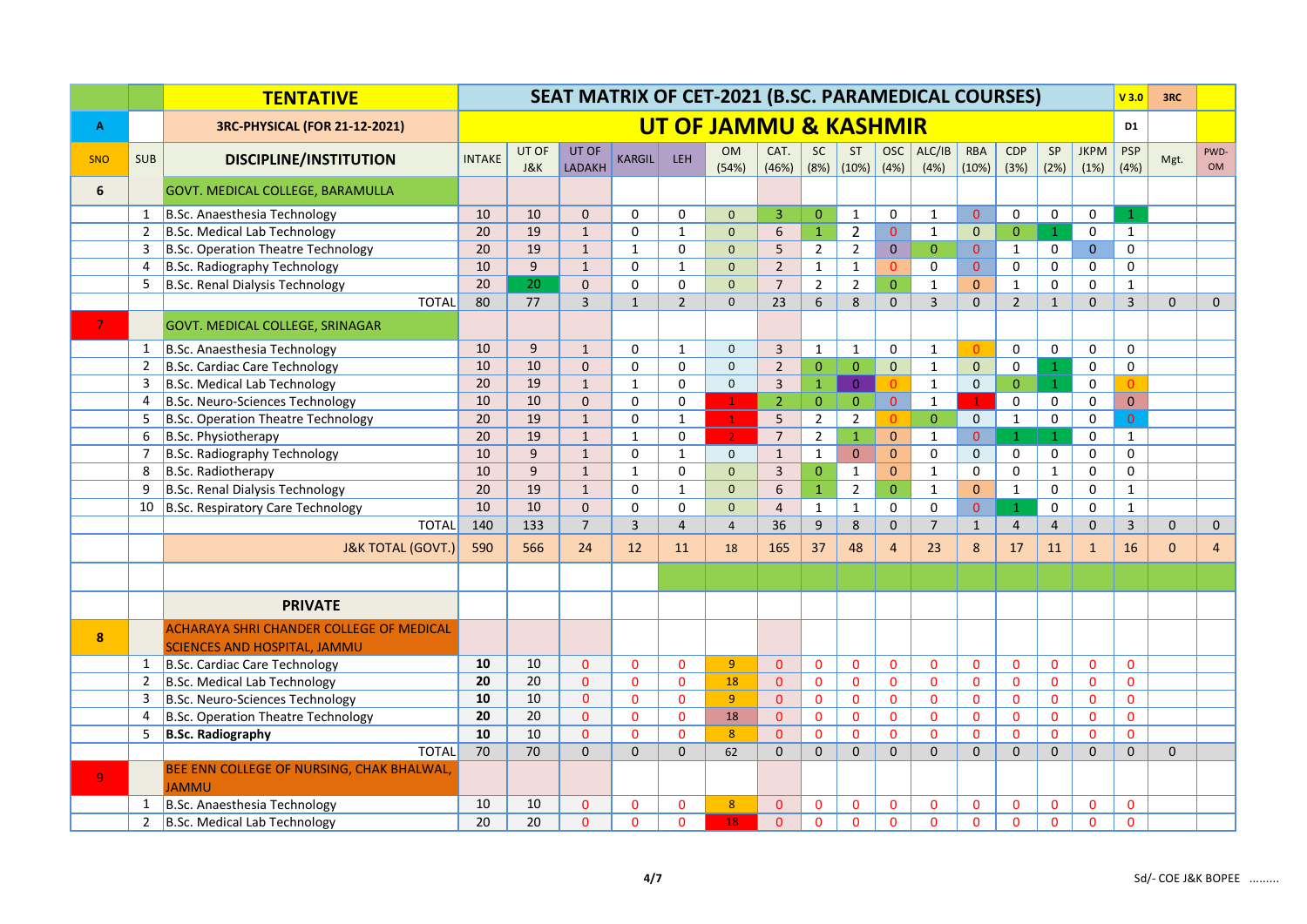|                  |                | <b>TENTATIVE</b>                                                                       | SEAT MATRIX OF CET-2021 (B.SC. PARAMEDICAL COURSES)<br><b>UT OF JAMMU &amp; KASHMIR</b> |                         |                 |                |                |                    |                         |                   |                    |                     |                |                     |                    | V3.0           | 3RC                 |                     |                |                   |
|------------------|----------------|----------------------------------------------------------------------------------------|-----------------------------------------------------------------------------------------|-------------------------|-----------------|----------------|----------------|--------------------|-------------------------|-------------------|--------------------|---------------------|----------------|---------------------|--------------------|----------------|---------------------|---------------------|----------------|-------------------|
| A                |                | <b>3RC-PHYSICAL (FOR 21-12-2021)</b>                                                   |                                                                                         |                         |                 |                |                |                    |                         |                   |                    |                     |                |                     |                    |                |                     | D <sub>1</sub>      |                |                   |
| <b>SNO</b>       | <b>SUB</b>     | <b>DISCIPLINE/INSTITUTION</b>                                                          | <b>INTAKE</b>                                                                           | UT OF<br><b>J&amp;K</b> | UT OF<br>LADAKH | <b>KARGIL</b>  | LEH            | <b>OM</b><br>(54%) | CAT.<br>(46%)           | <b>SC</b><br>(8%) | <b>ST</b><br>(10%) | <b>OSC</b><br>(4%)  | ALC/IB<br>(4%) | <b>RBA</b><br>(10%) | <b>CDP</b><br>(3%) | SP<br>(2%)     | <b>JKPM</b><br>(1%) | <b>PSP</b><br>(4% ) | Mgt.           | PWD-<br><b>OM</b> |
| 6                |                | GOVT. MEDICAL COLLEGE, BARAMULLA                                                       |                                                                                         |                         |                 |                |                |                    |                         |                   |                    |                     |                |                     |                    |                |                     |                     |                |                   |
|                  | $\mathbf{1}$   | B.Sc. Anaesthesia Technology                                                           | 10                                                                                      | 10                      | $\mathbf 0$     | $\mathbf 0$    | $\mathbf 0$    | $\mathbf{0}$       | 3                       | $\overline{0}$    | $\mathbf{1}$       | $\mathbf 0$         | $\mathbf{1}$   | $\pmb{0}$           | $\mathsf 0$        | 0              | 0                   | $\mathbf{1}$        |                |                   |
|                  | $\overline{2}$ | B.Sc. Medical Lab Technology                                                           | 20                                                                                      | 19                      | $\mathbf{1}$    | $\mathbf 0$    | $\mathbf{1}$   | $\mathbf{0}$       | 6                       | $\mathbf{1}$      | $\overline{2}$     | $\mathbf{0}$        | $\mathbf{1}$   | $\mathbf 0$         | $\mathbf{0}$       | $\mathbf{1}$   | 0                   | $\mathbf{1}$        |                |                   |
|                  | 3              | B.Sc. Operation Theatre Technology                                                     | 20                                                                                      | 19                      | $\mathbf{1}$    | $\mathbf{1}$   | $\mathbf 0$    | $\mathbf{0}$       | 5                       | $2^{\circ}$       | $\overline{2}$     | $\mathbf{0}$        | $\overline{0}$ | $\mathbf{0}$        | $\mathbf{1}$       | $\mathbf 0$    | $\Omega$            | $\mathbf 0$         |                |                   |
|                  | 4              | B.Sc. Radiography Technology                                                           | 10                                                                                      | 9                       | $\mathbf{1}$    | $\mathbf 0$    | $\mathbf{1}$   | $\mathbf{0}$       | $\overline{2}$          | $\mathbf{1}$      | $\mathbf{1}$       | $\Omega$            | 0              | $\overline{0}$      | $\mathbf 0$        | 0              | $\mathbf 0$         | $\mathbf 0$         |                |                   |
|                  | 5              | B.Sc. Renal Dialysis Technology                                                        | 20                                                                                      | 20                      | $\Omega$        | 0              | 0              | $\mathbf{0}$       | $\overline{7}$          | $\overline{2}$    | $\overline{2}$     | $\mathbf{0}$        | $\mathbf{1}$   | $\mathbf{0}$        | $\mathbf{1}$       | 0              | $\Omega$            | $\mathbf{1}$        |                |                   |
|                  |                | <b>TOTAL</b>                                                                           | 80                                                                                      | 77                      | $\overline{3}$  | $1\,$          | $\overline{2}$ | $\mathbf{0}$       | 23                      | 6                 | 8                  | $\mathbf{0}$        | $\overline{3}$ | $\mathbf 0$         | $\overline{2}$     | $\mathbf{1}$   | $\Omega$            | $\overline{3}$      | $\overline{0}$ | $\mathbf{0}$      |
|                  |                | GOVT. MEDICAL COLLEGE, SRINAGAR                                                        |                                                                                         |                         |                 |                |                |                    |                         |                   |                    |                     |                |                     |                    |                |                     |                     |                |                   |
|                  | 1              | B.Sc. Anaesthesia Technology                                                           | 10                                                                                      | 9                       | $\mathbf{1}$    | $\Omega$       | $\mathbf{1}$   | $\mathbf{0}$       | $\overline{3}$          | $\mathbf{1}$      | $\mathbf{1}$       | $\mathsf{O}\xspace$ | $\mathbf{1}$   | $\Omega$            | 0                  | 0              | $\Omega$            | $\mathbf{0}$        |                |                   |
|                  | $\overline{2}$ | B.Sc. Cardiac Care Technology                                                          | 10                                                                                      | 10                      | $\mathbf 0$     | $\mathbf 0$    | $\mathbf 0$    | $\mathbf{0}$       | $\overline{2}$          | $\mathbf 0$       | $\overline{0}$     | $\overline{0}$      | $\mathbf{1}$   | $\mathbf{0}$        | $\mathbf 0$        | $\mathbf{1}$   | 0                   | $\mathbf 0$         |                |                   |
|                  | 3              | B.Sc. Medical Lab Technology                                                           | 20                                                                                      | 19                      | $\mathbf{1}$    | $\mathbf{1}$   | $\Omega$       | $\mathbf{0}$       | $\overline{3}$          | $1\,$             | $\overline{0}$     | $\Omega$            | $\mathbf{1}$   | $\mathbf{0}$        | $\overline{0}$     | $\mathbf{1}$   | 0                   | $\Omega$            |                |                   |
|                  | 4              | B.Sc. Neuro-Sciences Technology                                                        | 10                                                                                      | 10                      | $\Omega$        | $\Omega$       | $\Omega$       | $\mathbf{1}$       | $\overline{2}$          | $\overline{0}$    | $\overline{0}$     | $\mathbf{0}$        | $\mathbf{1}$   | $\mathbf{1}$        | $\mathbf 0$        | 0              | $\Omega$            | $\mathbf{0}$        |                |                   |
|                  | 5              | B.Sc. Operation Theatre Technology                                                     | 20                                                                                      | 19                      | $\mathbf{1}$    | $\mathbf 0$    | $\mathbf{1}$   | $\mathbf{1}$       | 5                       | $\overline{2}$    | $\overline{2}$     | $\Omega$            | $\overline{0}$ | $\mathbf 0$         | $\mathbf 1$        | $\mathbf 0$    | 0                   | $\overline{0}$      |                |                   |
|                  | 6              | B.Sc. Physiotherapy                                                                    | 20                                                                                      | 19                      | $\mathbf{1}$    | $\mathbf{1}$   | $\Omega$       | $\overline{2}$     | $\overline{7}$          | $\overline{2}$    | $\mathbf{1}$       | $\overline{0}$      | $\mathbf{1}$   | $\overline{0}$      | $\mathbf{1}$       | $\mathbf{1}$   | $\Omega$            | $\mathbf{1}$        |                |                   |
|                  | $\overline{7}$ | B.Sc. Radiography Technology                                                           | 10                                                                                      | 9                       | $\mathbf{1}$    | $\mathbf 0$    | $\mathbf{1}$   | $\mathbf 0$        | $\mathbf{1}$            | $\mathbf{1}$      | $\overline{0}$     | $\mathbf{0}$        | $\mathbf 0$    | $\pmb{0}$           | $\mathsf 0$        | 0              | 0                   | $\mathsf{o}$        |                |                   |
|                  | 8              | B.Sc. Radiotherapy                                                                     | 10                                                                                      | $\overline{9}$          | $\mathbf{1}$    | $\mathbf{1}$   | $\mathbf 0$    | $\mathbf{0}$       | $\overline{\mathbf{3}}$ | $\mathbf{0}$      | $\mathbf{1}$       | $\mathbf{0}$        | $\mathbf{1}$   | $\pmb{0}$           | $\pmb{0}$          | $\mathbf{1}$   | 0                   | $\mathsf{o}$        |                |                   |
|                  | 9              | B.Sc. Renal Dialysis Technology                                                        | 20                                                                                      | 19                      | $\mathbf{1}$    | $\mathbf 0$    | $\mathbf{1}$   | $\mathbf{0}$       | 6                       | $\mathbf{1}$      | $\overline{2}$     | $\mathbf{0}$        | $\mathbf{1}$   | $\mathbf{0}$        | $\mathbf 1$        | 0              | $\mathbf 0$         | $\mathbf{1}$        |                |                   |
|                  |                | 10 B.Sc. Respiratory Care Technology                                                   | 10                                                                                      | 10                      | $\overline{0}$  | $\mathbf 0$    | $\Omega$       | $\mathbf{0}$       | $\overline{4}$          | $\mathbf{1}$      | $\mathbf{1}$       | $\mathbf 0$         | $\mathbf 0$    | $\overline{0}$      | $\mathbf{1}$       | $\Omega$       | $\Omega$            | $\mathbf{1}$        |                |                   |
|                  |                | <b>TOTAL</b>                                                                           | 140                                                                                     | 133                     | $\overline{7}$  | $\overline{3}$ | $\overline{4}$ | $\overline{4}$     | 36                      | $\overline{9}$    | 8                  | $\mathbf{0}$        | $\overline{7}$ | $\mathbf{1}$        | $\overline{4}$     | $\overline{4}$ | $\Omega$            | $\overline{3}$      | $\mathbf 0$    | $\mathbf{0}$      |
|                  |                | <b>J&amp;K TOTAL (GOVT.)</b>                                                           | 590                                                                                     | 566                     | 24              | 12             | 11             | 18                 | 165                     | 37                | 48                 | $\overline{4}$      | 23             | 8                   | 17                 | 11             | $\overline{1}$      | 16                  | $\overline{0}$ | $\overline{4}$    |
|                  |                |                                                                                        |                                                                                         |                         |                 |                |                |                    |                         |                   |                    |                     |                |                     |                    |                |                     |                     |                |                   |
|                  |                | <b>PRIVATE</b>                                                                         |                                                                                         |                         |                 |                |                |                    |                         |                   |                    |                     |                |                     |                    |                |                     |                     |                |                   |
| $\boldsymbol{8}$ |                | <b>ACHARAYA SHRI CHANDER COLLEGE OF MEDICAL</b><br><b>SCIENCES AND HOSPITAL, JAMMU</b> |                                                                                         |                         |                 |                |                |                    |                         |                   |                    |                     |                |                     |                    |                |                     |                     |                |                   |
|                  | 1              | B.Sc. Cardiac Care Technology                                                          | 10                                                                                      | 10                      | $\mathbf{0}$    | $\mathbf{0}$   | $\mathbf{0}$   | 9                  | $\mathbf{0}$            | $\mathbf 0$       | $\mathbf{0}$       | $\mathbf{0}$        | $\mathbf{0}$   | $\mathbf{0}$        | $\mathbf{0}$       | $\mathbf{0}$   | $\mathbf{0}$        | $\mathbf{0}$        |                |                   |
|                  | 2              | B.Sc. Medical Lab Technology                                                           | 20                                                                                      | 20                      | $\Omega$        | $\mathbf{0}$   | $\mathbf{0}$   | 18                 | $\mathbf{0}$            | $\mathbf{0}$      | $\mathbf{0}$       | $\mathbf{0}$        | $\Omega$       | $\mathbf{0}$        | $\mathbf{0}$       | $\mathbf{0}$   | 0                   | $\mathbf{0}$        |                |                   |
|                  | 3              | B.Sc. Neuro-Sciences Technology                                                        | 10                                                                                      | 10                      | $\overline{0}$  | $\mathbf{0}$   | $\mathbf{0}$   | 9 <sup>°</sup>     | $\Omega$                | $\mathbf{0}$      | $\mathbf{0}$       | $\mathbf{0}$        | $\mathbf 0$    | $\mathbf{0}$        | $\mathbf 0$        | $\mathbf{0}$   | $\overline{0}$      | $\mathbf{0}$        |                |                   |
|                  | $\overline{4}$ | B.Sc. Operation Theatre Technology                                                     | 20                                                                                      | 20                      | $\Omega$        | $\mathbf{0}$   | $\mathbf{0}$   | 18                 | $\Omega$                | $\mathbf{0}$      | $\Omega$           | $\mathbf{0}$        | $\Omega$       | $\mathbf{0}$        | $\Omega$           | $\mathbf{0}$   | $\Omega$            | $\mathbf{0}$        |                |                   |
|                  | 5              | <b>B.Sc. Radiography</b>                                                               | 10                                                                                      | 10                      | $\mathbf 0$     | $\mathbf{0}$   | $\mathbf{0}$   | 8                  | $\mathbf{0}$            | $\mathbf{0}$      | $\overline{0}$     | $\mathbf{0}$        | $\overline{0}$ | $\mathbf{0}$        | $\overline{0}$     | $\mathbf{0}$   | $\mathbf{0}$        | $\mathbf{0}$        |                |                   |
|                  |                | <b>TOTAL</b>                                                                           | 70                                                                                      | 70                      | $\overline{0}$  | $\mathbf 0$    | $\mathbf{0}$   | 62                 | $\Omega$                | $\mathbf{0}$      | $\Omega$           | $\Omega$            | $\Omega$       | $\mathbf 0$         | $\Omega$           | $\mathbf{0}$   | $\Omega$            | $\mathbf{0}$        | $\overline{0}$ |                   |
| -9               |                | BEE ENN COLLEGE OF NURSING, CHAK BHALWAL,<br><b>JAMMU</b>                              |                                                                                         |                         |                 |                |                |                    |                         |                   |                    |                     |                |                     |                    |                |                     |                     |                |                   |
|                  | 1              | B.Sc. Anaesthesia Technology                                                           | 10                                                                                      | 10                      | $\mathbf{0}$    | $\mathbf{0}$   | $\mathbf{0}$   | 8                  | $\mathbf{0}$            | $\mathbf{0}$      | $\mathbf 0$        | $\mathbf{0}$        | $\mathbf 0$    | $\mathbf{0}$        | $\mathbf 0$        | $\mathbf 0$    | $\mathbf 0$         | $\mathbf{0}$        |                |                   |
|                  | $\overline{2}$ | B.Sc. Medical Lab Technology                                                           | 20                                                                                      | 20                      | $\mathbf{0}$    | $\mathbf{0}$   | $\mathbf{0}$   | 18                 | $\overline{0}$          | $\mathbf 0$       | $\mathbf 0$        | $\mathbf{0}$        | $\Omega$       | $\mathbf{0}$        | $\mathbf 0$        | $\overline{0}$ | $\overline{0}$      | $\mathbf 0$         |                |                   |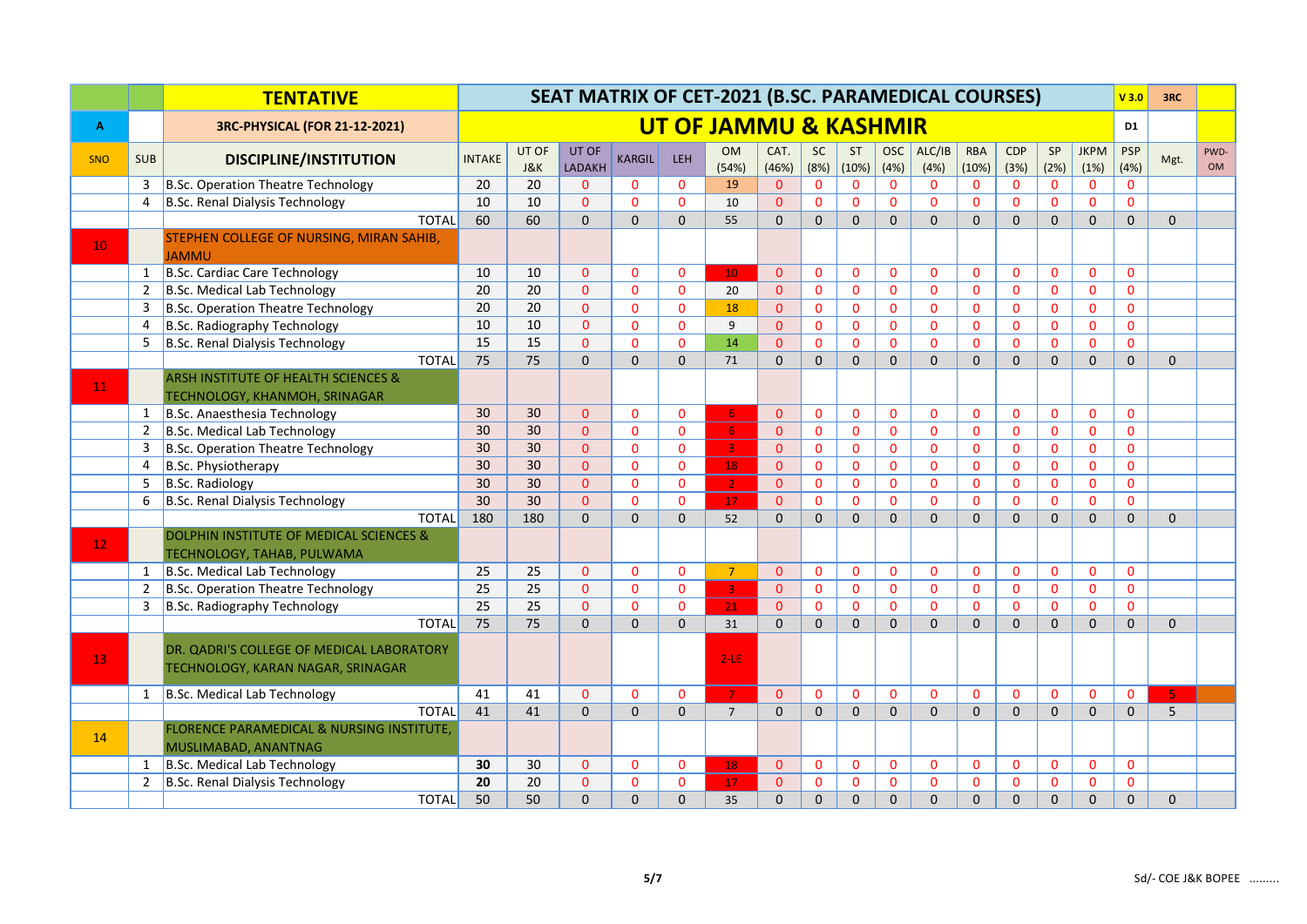|                 |                | <b>TENTATIVE</b>                                                  | SEAT MATRIX OF CET-2021 (B.SC. PARAMEDICAL COURSES) |                         |                        |               |              |                                  |               |                   |                    |              |                 |                     | V3.0         | 3RC          |                     |                    |             |                   |
|-----------------|----------------|-------------------------------------------------------------------|-----------------------------------------------------|-------------------------|------------------------|---------------|--------------|----------------------------------|---------------|-------------------|--------------------|--------------|-----------------|---------------------|--------------|--------------|---------------------|--------------------|-------------|-------------------|
| A               |                | 3RC-PHYSICAL (FOR 21-12-2021)                                     |                                                     |                         |                        |               |              | <b>UT OF JAMMU &amp; KASHMIR</b> |               |                   |                    |              |                 |                     |              |              |                     | D <sub>1</sub>     |             |                   |
| <b>SNO</b>      | <b>SUB</b>     | <b>DISCIPLINE/INSTITUTION</b>                                     | <b>INTAKE</b>                                       | UT OF<br><b>J&amp;K</b> | UT OF<br><b>LADAKH</b> | <b>KARGIL</b> | LEH          | <b>OM</b><br>(54%)               | CAT.<br>(46%) | <b>SC</b><br>(8%) | <b>ST</b><br>(10%) | OSC<br>(4%)  | ALC/IB<br>(4% ) | <b>RBA</b><br>(10%) | CDP<br>(3%)  | SP<br>(2%)   | <b>JKPM</b><br>(1%) | <b>PSP</b><br>(4%) | Mgt.        | PWD-<br><b>OM</b> |
|                 | 3              | B.Sc. Operation Theatre Technology                                | 20                                                  | 20                      | $\Omega$               | $\mathbf{0}$  | $\mathbf{0}$ | 19                               | $\mathbf{0}$  | $\mathbf{0}$      | $\mathbf{0}$       | $\mathbf 0$  | $\mathbf{0}$    | $\mathbf{0}$        | $\mathbf 0$  | $\mathbf{0}$ | $\mathbf{0}$        | $\mathbf{0}$       |             |                   |
|                 | $\overline{4}$ | B.Sc. Renal Dialysis Technology                                   | 10                                                  | 10                      | $\overline{0}$         | $\mathbf{0}$  | $\mathbf{0}$ | 10                               | $\Omega$      | $\mathbf{0}$      | $\mathbf{0}$       | $\mathbf{0}$ | $\Omega$        | $\mathbf{0}$        | $\mathbf{0}$ | $\Omega$     | $\Omega$            | $\mathbf{0}$       |             |                   |
|                 |                | <b>TOTAL</b>                                                      | 60                                                  | 60                      | $\Omega$               | $\mathbf{0}$  | $\mathbf{0}$ | 55                               | $\Omega$      | $\mathbf{0}$      | $\mathbf{0}$       | $\mathbf{0}$ | $\Omega$        | $\mathbf{0}$        | $\mathbf{0}$ | $\mathbf{0}$ | $\Omega$            | $\mathbf{0}$       | $\mathbf 0$ |                   |
|                 |                | STEPHEN COLLEGE OF NURSING, MIRAN SAHIB,                          |                                                     |                         |                        |               |              |                                  |               |                   |                    |              |                 |                     |              |              |                     |                    |             |                   |
| 10              |                | <b>JAMMU</b>                                                      |                                                     |                         |                        |               |              |                                  |               |                   |                    |              |                 |                     |              |              |                     |                    |             |                   |
|                 | 1              | B.Sc. Cardiac Care Technology                                     | 10                                                  | 10                      | $\Omega$               | $\mathbf{0}$  | $\mathbf{0}$ | 10 <sup>°</sup>                  | $\Omega$      | $\mathbf{0}$      | $\mathbf{0}$       | $\mathbf{0}$ | $\mathbf{0}$    | $\mathbf{0}$        | $\mathbf{0}$ | $\mathbf{0}$ | $\mathbf{0}$        | $\Omega$           |             |                   |
|                 | $\overline{2}$ | B.Sc. Medical Lab Technology                                      | 20                                                  | 20                      | $\Omega$               | $\mathbf{0}$  | $\mathbf{0}$ | 20                               | $\Omega$      | $\mathbf 0$       | $\Omega$           | $\mathbf 0$  | $\Omega$        | $\Omega$            | $\Omega$     | $\Omega$     | $\Omega$            | $\mathbf{0}$       |             |                   |
|                 | 3              | B.Sc. Operation Theatre Technology                                | 20                                                  | 20                      | $\overline{0}$         | $\mathbf{0}$  | $\mathbf{0}$ | 18                               | $\Omega$      | $\mathbf 0$       | $\mathbf{0}$       | $\mathbf{0}$ | $\mathbf{0}$    | $\mathbf{0}$        | $\mathbf 0$  | $\mathbf{0}$ | 0                   | $\mathbf{0}$       |             |                   |
|                 | 4              | B.Sc. Radiography Technology                                      | 10                                                  | 10                      | $\Omega$               | $\mathbf{0}$  | $\mathbf{0}$ | 9                                | $\Omega$      | $\mathbf{0}$      | $\mathbf{0}$       | $\mathbf{0}$ | $\Omega$        | $\overline{0}$      | $\mathbf{0}$ | $\mathbf{0}$ | $\overline{0}$      | $\Omega$           |             |                   |
|                 | 5              | B.Sc. Renal Dialysis Technology                                   | 15                                                  | 15                      | $\mathbf{0}$           | $\mathbf{0}$  | $\mathbf{0}$ | 14                               | $\Omega$      | $\mathbf{0}$      | $\mathbf{0}$       | $\mathbf{0}$ | $\Omega$        | $\mathbf{0}$        | $\mathbf{0}$ | $\mathbf{0}$ | $\Omega$            | $\mathbf{0}$       |             |                   |
|                 |                | <b>TOTAL</b>                                                      | 75                                                  | 75                      | $\overline{0}$         | $\Omega$      | $\Omega$     | 71                               | $\Omega$      | $\Omega$          | $\Omega$           | $\Omega$     | $\Omega$        | $\Omega$            | $\Omega$     | $\Omega$     | $\Omega$            | $\mathbf{0}$       | $\Omega$    |                   |
| 11              |                | <b>ARSH INSTITUTE OF HEALTH SCIENCES &amp;</b>                    |                                                     |                         |                        |               |              |                                  |               |                   |                    |              |                 |                     |              |              |                     |                    |             |                   |
|                 |                | TECHNOLOGY, KHANMOH, SRINAGAR                                     |                                                     |                         |                        |               |              |                                  |               |                   |                    |              |                 |                     |              |              |                     |                    |             |                   |
|                 | 1              | B.Sc. Anaesthesia Technology                                      | 30                                                  | 30                      | $\overline{0}$         | $\mathbf{0}$  | $\mathbf{0}$ | 6 <sup>1</sup>                   | $\Omega$      | $\mathbf{0}$      | $\mathbf{0}$       | $\mathbf{0}$ | $\Omega$        | $\mathbf{0}$        | $\mathbf{0}$ | $\mathbf{0}$ | $\Omega$            | $\mathbf{0}$       |             |                   |
|                 | 2              | B.Sc. Medical Lab Technology                                      | 30                                                  | 30 <sup>2</sup>         | $\Omega$               | $\mathbf{0}$  | $\Omega$     | 6 <sup>1</sup>                   | $\mathbf{0}$  | $\mathbf{0}$      | $\mathbf{0}$       | $\mathbf{0}$ | $\Omega$        | $\Omega$            | $\mathbf 0$  | $\mathbf{0}$ | $\mathbf 0$         | $\mathbf{0}$       |             |                   |
|                 | 3              | B.Sc. Operation Theatre Technology                                | 30                                                  | 30                      | $\overline{0}$         | $\mathbf{0}$  | $\mathbf{0}$ | $\overline{\mathbf{3}}$          | $\mathbf{0}$  | $\mathbf 0$       | $\mathbf{0}$       | $\mathbf 0$  | $\Omega$        | $\mathbf{0}$        | $\mathbf 0$  | $\mathbf{0}$ | 0                   | $\mathbf{0}$       |             |                   |
|                 | $\overline{4}$ | B.Sc. Physiotherapy                                               | 30                                                  | 30                      | $\Omega$               | $\mathbf{0}$  | $\mathbf{0}$ | 18                               | $\Omega$      | $\mathbf{0}$      | $\mathbf{0}$       | $\mathbf{0}$ | $\Omega$        | $\mathbf{0}$        | $\mathbf{0}$ | $\mathbf{0}$ | $\overline{0}$      | $\mathbf{0}$       |             |                   |
|                 | 5              | B.Sc. Radiology                                                   | 30                                                  | 30                      | $\overline{0}$         | $\mathbf{0}$  | $\mathbf{0}$ | 2 <sup>2</sup>                   | $\mathbf{0}$  | $\mathbf{0}$      | $\mathbf{0}$       | $\mathbf{0}$ | $\mathbf 0$     | $\mathbf{0}$        | $\mathbf 0$  | $\mathbf{0}$ | 0                   | $\mathbf{0}$       |             |                   |
|                 | 6              | B.Sc. Renal Dialysis Technology                                   | 30                                                  | 30                      | $\Omega$               | $\mathbf{0}$  | $\Omega$     | 17                               | $\Omega$      | $\mathbf{0}$      | $\mathbf{0}$       | $\Omega$     | $\Omega$        | $\mathbf{0}$        | $\Omega$     | $\mathbf{0}$ | $\Omega$            | $\mathbf{0}$       |             |                   |
|                 |                | <b>TOTAL</b>                                                      | 180                                                 | 180                     | $\Omega$               | $\Omega$      | $\Omega$     | 52                               | $\Omega$      | $\Omega$          | $\Omega$           | $\Omega$     | $\Omega$        | $\Omega$            | $\Omega$     | $\Omega$     | $\Omega$            | $\Omega$           | $\Omega$    |                   |
| 12 <sub>1</sub> |                | <b>DOLPHIN INSTITUTE OF MEDICAL SCIENCES &amp;</b>                |                                                     |                         |                        |               |              |                                  |               |                   |                    |              |                 |                     |              |              |                     |                    |             |                   |
|                 |                | TECHNOLOGY, TAHAB, PULWAMA                                        |                                                     |                         |                        |               |              |                                  |               |                   |                    |              |                 |                     |              |              |                     |                    |             |                   |
|                 | 1              | B.Sc. Medical Lab Technology                                      | 25                                                  | 25                      | $\mathbf{0}$           | $\mathbf{0}$  | $\mathbf{0}$ | $\overline{7}$                   | $\Omega$      | $\mathbf{0}$      | $\mathbf{0}$       | $\mathbf{0}$ | $\mathbf 0$     | $\mathbf{0}$        | $\mathbf 0$  | $\mathbf 0$  | $\mathbf 0$         | $\mathbf{0}$       |             |                   |
|                 | 2              | B.Sc. Operation Theatre Technology                                | 25                                                  | 25                      | $\Omega$               | $\mathbf{0}$  | $\mathbf{0}$ | 3 <sup>°</sup>                   | $\Omega$      | $\mathbf{0}$      | $\mathbf{0}$       | $\mathbf{0}$ | $\Omega$        | $\Omega$            | $\Omega$     | $\mathbf{0}$ | $\Omega$            | $\overline{0}$     |             |                   |
|                 | 3              | B.Sc. Radiography Technology                                      | $\overline{25}$                                     | 25                      | $\mathbf{0}$           | $\mathbf{0}$  | $\mathbf{0}$ | 21 <sub>2</sub>                  | $\mathbf{0}$  | $\mathbf{0}$      | $\mathbf{0}$       | $\mathbf{0}$ | $\Omega$        | $\mathbf{0}$        | $\mathbf{0}$ | $\mathbf{0}$ | $\overline{0}$      | $\mathbf{0}$       |             |                   |
|                 |                | <b>TOTAL</b>                                                      | 75                                                  | 75                      | $\overline{0}$         | $\mathbf{0}$  | $\Omega$     | 31                               | $\Omega$      | $\Omega$          | $\Omega$           | $\Omega$     | $\Omega$        | $\Omega$            | $\Omega$     | $\mathbf{0}$ | $\Omega$            | $\mathbf{0}$       | $\mathbf 0$ |                   |
|                 |                | DR. QADRI'S COLLEGE OF MEDICAL LABORATORY                         |                                                     |                         |                        |               |              |                                  |               |                   |                    |              |                 |                     |              |              |                     |                    |             |                   |
| 13              |                | TECHNOLOGY, KARAN NAGAR, SRINAGAR                                 |                                                     |                         |                        |               |              | $2$ -LE                          |               |                   |                    |              |                 |                     |              |              |                     |                    |             |                   |
|                 |                |                                                                   |                                                     |                         |                        |               |              |                                  |               |                   |                    |              |                 |                     |              |              |                     |                    |             |                   |
|                 | 1              | B.Sc. Medical Lab Technology                                      | 41                                                  | 41                      | $\overline{0}$         | $\mathbf{0}$  | $\mathbf{0}$ | 7 <sup>7</sup>                   | $\mathbf{0}$  | $\mathbf 0$       | $\mathbf{0}$       | $\mathbf{0}$ | $\mathbf{0}$    | $\mathbf{0}$        | $\mathbf 0$  | $\mathbf 0$  | $\mathbf{0}$        | $\mathbf 0$        | -5 -        |                   |
|                 |                | <b>TOTAL</b>                                                      | 41                                                  | 41                      | $\overline{0}$         | $\Omega$      | $\Omega$     | $\overline{7}$                   | $\Omega$      | $\mathbf{0}$      | $\mathbf{0}$       | $\Omega$     | $\Omega$        | $\mathbf{0}$        | $\Omega$     | $\mathbf{0}$ | $\Omega$            | $\mathbf{0}$       | 5           |                   |
| 14              |                | FLORENCE PARAMEDICAL & NURSING INSTITUTE,<br>MUSLIMABAD, ANANTNAG |                                                     |                         |                        |               |              |                                  |               |                   |                    |              |                 |                     |              |              |                     |                    |             |                   |
|                 | 1              | B.Sc. Medical Lab Technology                                      | 30                                                  | 30                      | $\mathbf{0}$           | $\mathbf{0}$  | $\mathbf{0}$ | 18                               | $\mathbf{0}$  | $\mathbf 0$       | 0                  | $\mathbf{0}$ | $\mathbf{0}$    | 0                   | $\mathbf 0$  | $\mathbf 0$  | $\mathbf{0}$        | $\mathbf{0}$       |             |                   |
|                 | 2              | B.Sc. Renal Dialysis Technology                                   | 20                                                  | 20                      | $\Omega$               | $\mathbf{0}$  | $\mathbf{0}$ | 17                               | $\mathbf{0}$  | $\mathbf{0}$      | $\mathbf{0}$       | $\mathbf{0}$ | $\mathbf 0$     | $\mathbf{0}$        | $\mathbf 0$  | $\mathbf{0}$ | 0                   | $\mathbf{0}$       |             |                   |
|                 |                | <b>TOTAL</b>                                                      | 50                                                  | 50                      | $\Omega$               | $\Omega$      | $\Omega$     | 35                               | $\Omega$      | $\overline{0}$    | $\Omega$           | $\Omega$     | $\Omega$        | $\Omega$            | $\Omega$     | $\Omega$     | $\Omega$            | $\mathbf{0}$       | $\Omega$    |                   |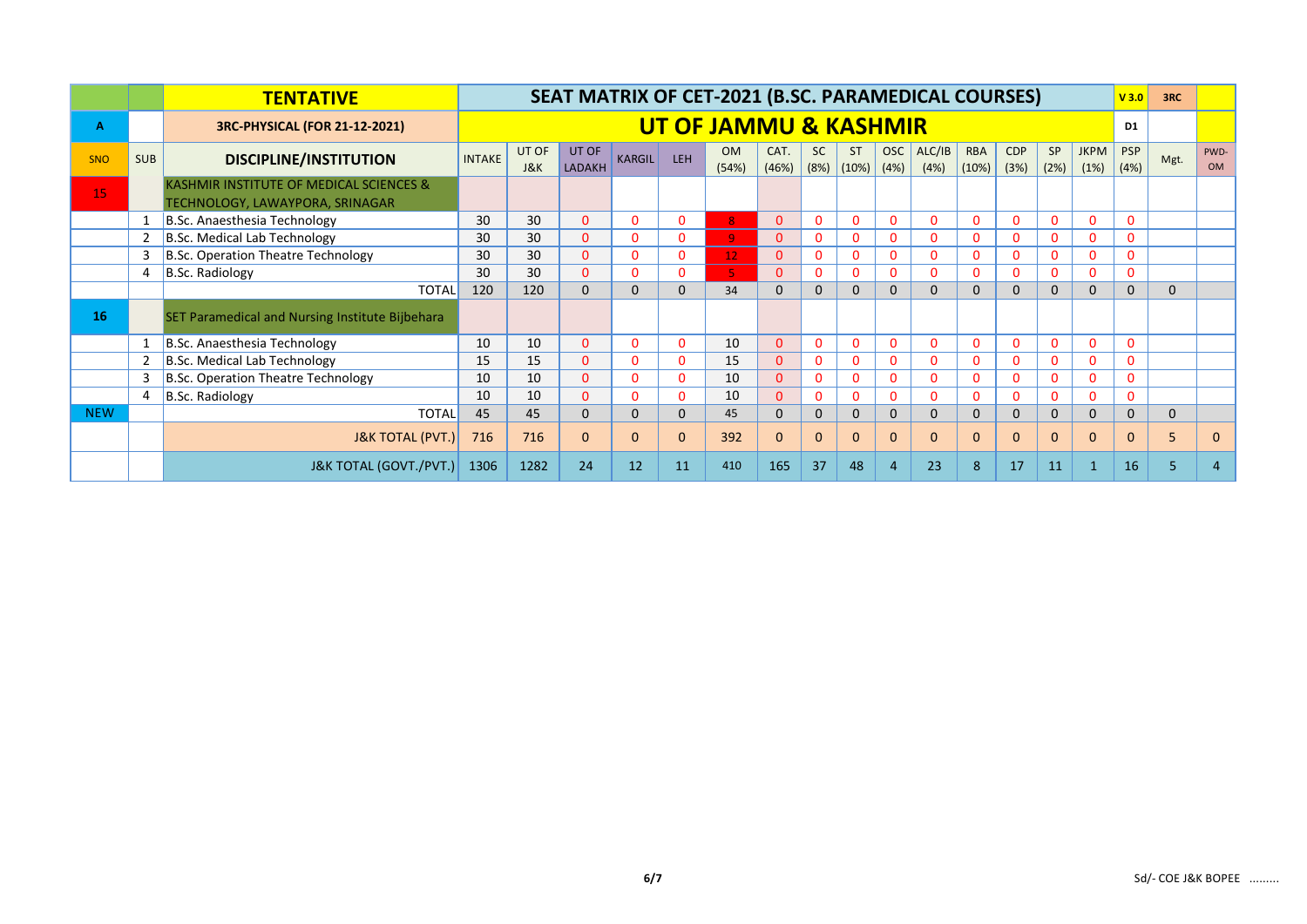|            |            | <b>TENTATIVE</b>                                                           | SEAT MATRIX OF CET-2021 (B.SC. PARAMEDICAL COURSES) |                         |                        |               |            |                                  |               |              |                                       |              |                |                     |                    |              |                     | V3.0         | 3RC         |                   |
|------------|------------|----------------------------------------------------------------------------|-----------------------------------------------------|-------------------------|------------------------|---------------|------------|----------------------------------|---------------|--------------|---------------------------------------|--------------|----------------|---------------------|--------------------|--------------|---------------------|--------------|-------------|-------------------|
| A          |            | 3RC-PHYSICAL (FOR 21-12-2021)                                              |                                                     |                         |                        |               |            | <b>UT OF JAMMU &amp; KASHMIR</b> |               |              |                                       |              |                |                     |                    |              |                     | D1           |             |                   |
| <b>SNO</b> | <b>SUB</b> | <b>DISCIPLINE/INSTITUTION</b>                                              | <b>INTAKE</b>                                       | UT OF<br><b>J&amp;K</b> | UT OF<br><b>LADAKH</b> | <b>KARGIL</b> | <b>LEH</b> | <b>OM</b><br>(54%)               | CAT.<br>(46%) | <b>SC</b>    | <b>ST</b><br>$(8\%)$ $(10\%)$ $(4\%)$ | <b>OSC</b>   | ALC/IB<br>(4%) | <b>RBA</b><br>(10%) | <b>CDP</b><br>(3%) | SP<br>(2%)   | <b>JKPM</b><br>(1%) | PSP<br>(4%)  | Mgt.        | PWD-<br><b>OM</b> |
| 15         |            | KASHMIR INSTITUTE OF MEDICAL SCIENCES &<br>TECHNOLOGY, LAWAYPORA, SRINAGAR |                                                     |                         |                        |               |            |                                  |               |              |                                       |              |                |                     |                    |              |                     |              |             |                   |
|            |            | B.Sc. Anaesthesia Technology                                               | 30                                                  | 30                      | $\Omega$               | 0             | $\Omega$   | (8 I                             | $\Omega$      | $\Omega$     | $\mathbf{0}$                          | $\Omega$     | $\mathbf{0}$   | $\Omega$            | $\Omega$           | $\Omega$     | $\Omega$            | $\mathbf{0}$ |             |                   |
|            |            | B.Sc. Medical Lab Technology                                               | 30                                                  | 30                      | $\Omega$               | 0             | 0          | 9 <sup>°</sup>                   | 0             | 0            | $\mathbf{0}$                          | $\Omega$     | 0              | $\mathbf{0}$        | $\Omega$           | $\mathbf{0}$ | $\Omega$            | 0            |             |                   |
|            | 3          | B.Sc. Operation Theatre Technology                                         | 30                                                  | 30                      | $\Omega$               | $\Omega$      | 0          | 12 <sub>1</sub>                  | $\Omega$      | $\Omega$     | $\Omega$                              | $\Omega$     | $\Omega$       | $\Omega$            | $\Omega$           | $\Omega$     | $\Omega$            | 0            |             |                   |
|            |            | $B.Sc.$ Radiology                                                          | 30                                                  | 30                      | $\Omega$               | $\Omega$      | $\Omega$   | 5 <sup>1</sup>                   | 0             | $\Omega$     | $\Omega$                              | $\mathbf{0}$ | $\Omega$       | $\mathbf{0}$        | $\Omega$           | $\Omega$     | $\mathbf 0$         | $\Omega$     |             |                   |
|            |            | <b>TOTAL</b>                                                               | 120                                                 | 120                     | $\Omega$               | $\Omega$      | $\Omega$   | 34                               | $\Omega$      | 0            | $\Omega$                              | $\Omega$     | $\Omega$       | $\Omega$            | $\Omega$           | $\mathbf{0}$ | $\Omega$            | $\mathbf{0}$ | $\Omega$    |                   |
| 16         |            | SET Paramedical and Nursing Institute Bijbehara                            |                                                     |                         |                        |               |            |                                  |               |              |                                       |              |                |                     |                    |              |                     |              |             |                   |
|            |            | B.Sc. Anaesthesia Technology                                               | 10                                                  | 10                      | $\Omega$               | 0             | $\Omega$   | 10                               | $\Omega$      | $\Omega$     | $\Omega$                              | $\Omega$     | $\Omega$       | $\Omega$            | $\Omega$           | $\Omega$     | $\Omega$            | $\Omega$     |             |                   |
|            |            | B.Sc. Medical Lab Technology                                               | 15                                                  | 15                      | $\Omega$               | 0             | $\Omega$   | 15                               | 0             | 0            | $\mathbf 0$                           | $\Omega$     | $\mathbf 0$    | $\mathbf{0}$        | $\Omega$           | $\mathbf{0}$ | $\Omega$            | 0            |             |                   |
|            |            | B.Sc. Operation Theatre Technology                                         | 10                                                  | 10                      | $\Omega$               | 0             | $\Omega$   | 10                               | $\Omega$      | $\mathbf{0}$ | $\mathbf{0}$                          | $\mathbf{0}$ | $\mathbf 0$    | $\mathbf{0}$        | $\Omega$           | $\mathbf{0}$ | $\Omega$            | $\mathbf{0}$ |             |                   |
|            |            | B.Sc. Radiology                                                            | 10                                                  | 10                      | $\Omega$               | $\Omega$      | $\Omega$   | 10                               | 0             | $\Omega$     | $\Omega$                              | $\Omega$     | $\Omega$       | $\mathbf{0}$        | $\Omega$           | $\mathbf{0}$ | $\Omega$            | $\Omega$     |             |                   |
| <b>NEW</b> |            | <b>TOTAL</b>                                                               | 45                                                  | 45                      | $\Omega$               | $\mathbf{0}$  | $\Omega$   | 45                               | $\Omega$      | $\mathbf{0}$ | $\mathbf{0}$                          | $\Omega$     | $\mathbf{0}$   | $\mathbf{0}$        | $\Omega$           | $\mathbf{0}$ | $\Omega$            | $\mathbf{0}$ | $\mathbf 0$ |                   |
|            |            | <b>J&amp;K TOTAL (PVT.)</b>                                                | 716                                                 | 716                     | $\Omega$               | $\mathbf{0}$  | $\Omega$   | 392                              | $\Omega$      | $\Omega$     | $\Omega$                              | $\Omega$     | $\Omega$       | $\mathbf{0}$        | $\Omega$           | $\Omega$     | $\Omega$            | $\Omega$     | 5           | $\mathbf{0}$      |
|            |            | <b>J&amp;K TOTAL (GOVT./PVT.)</b>                                          | 1306                                                | 1282                    | 24                     | 12            | 11         | 410                              | 165           | 37           | 48                                    |              | 23             | 8                   | 17                 | 11           |                     | 16           |             | 4                 |